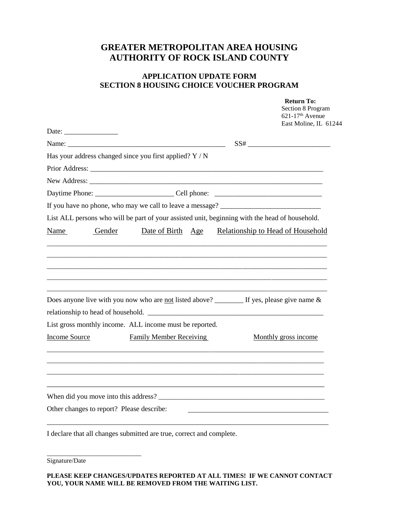## **GREATER METROPOLITAN AREA HOUSING AUTHORITY OF ROCK ISLAND COUNTY**

## **APPLICATION UPDATE FORM SECTION 8 HOUSING CHOICE VOUCHER PROGRAM**

|                                                                                                                                                                                                                                                                                                                                                                                                                                              |        |                                |  | <b>Return To:</b><br>Section 8 Program<br>621-17 <sup>th</sup> Avenue<br>East Moline, IL 61244 |
|----------------------------------------------------------------------------------------------------------------------------------------------------------------------------------------------------------------------------------------------------------------------------------------------------------------------------------------------------------------------------------------------------------------------------------------------|--------|--------------------------------|--|------------------------------------------------------------------------------------------------|
| Date:                                                                                                                                                                                                                                                                                                                                                                                                                                        |        |                                |  |                                                                                                |
|                                                                                                                                                                                                                                                                                                                                                                                                                                              |        |                                |  |                                                                                                |
| Has your address changed since you first applied? $Y / N$                                                                                                                                                                                                                                                                                                                                                                                    |        |                                |  |                                                                                                |
|                                                                                                                                                                                                                                                                                                                                                                                                                                              |        |                                |  |                                                                                                |
|                                                                                                                                                                                                                                                                                                                                                                                                                                              |        |                                |  |                                                                                                |
|                                                                                                                                                                                                                                                                                                                                                                                                                                              |        |                                |  |                                                                                                |
| If you have no phone, who may we call to leave a message? _______________________                                                                                                                                                                                                                                                                                                                                                            |        |                                |  |                                                                                                |
| List ALL persons who will be part of your assisted unit, beginning with the head of household.                                                                                                                                                                                                                                                                                                                                               |        |                                |  |                                                                                                |
| Name                                                                                                                                                                                                                                                                                                                                                                                                                                         | Gender | Date of Birth Age              |  | Relationship to Head of Household                                                              |
| Does anyone live with you now who are not listed above? $\frac{1}{\sqrt{1-\frac{1}{\sqrt{1-\frac{1}{\sqrt{1-\frac{1}{\sqrt{1-\frac{1}{\sqrt{1-\frac{1}{\sqrt{1-\frac{1}{\sqrt{1-\frac{1}{\sqrt{1-\frac{1}{\sqrt{1-\frac{1}{\sqrt{1-\frac{1}{\sqrt{1-\frac{1}{\sqrt{1-\frac{1}{\sqrt{1-\frac{1}{\sqrt{1-\frac{1}{\sqrt{1-\frac{1}{\sqrt{1-\frac{1}{\sqrt{1-\frac{1}{\sqrt{1-\frac$<br>List gross monthly income. ALL income must be reported. |        |                                |  |                                                                                                |
| <b>Income Source</b>                                                                                                                                                                                                                                                                                                                                                                                                                         |        | <b>Family Member Receiving</b> |  | Monthly gross income                                                                           |
|                                                                                                                                                                                                                                                                                                                                                                                                                                              |        |                                |  |                                                                                                |
|                                                                                                                                                                                                                                                                                                                                                                                                                                              |        |                                |  |                                                                                                |
| Other changes to report? Please describe:                                                                                                                                                                                                                                                                                                                                                                                                    |        |                                |  |                                                                                                |
| I declare that all changes submitted are true, correct and complete.                                                                                                                                                                                                                                                                                                                                                                         |        |                                |  |                                                                                                |

Signature/Date

\_\_\_\_\_\_\_\_\_\_\_\_\_\_\_\_\_\_\_\_\_\_\_\_\_\_\_\_\_

**PLEASE KEEP CHANGES/UPDATES REPORTED AT ALL TIMES! IF WE CANNOT CONTACT YOU, YOUR NAME WILL BE REMOVED FROM THE WAITING LIST.**